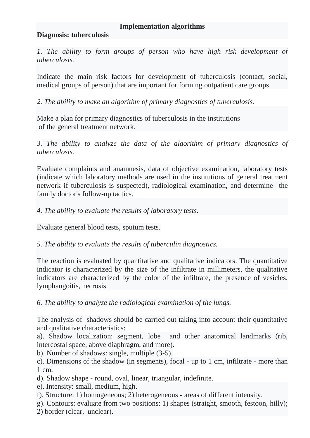## **Implementation algorithms**

## **Diagnosis: tuberculosis**

*1. The ability to form groups of person who have high risk development of tuberculosis.*

Indicate the main risk factors for development of tuberculosis (contact, social, medical groups of person) that are important for forming outpatient care groups.

*2. The ability to make an algorithm of primary diagnostics of tuberculosis.*

Make a plan for primary diagnostics of tuberculosis in the institutions of the general treatment network.

*3. The ability to analyze the data of the algorithm of primary diagnostics of tuberculosis.*

Evaluate complaints and anamnesis, data of objective examination, laboratory tests (indicate which laboratory methods are used in the institutions of general treatment network if tuberculosis is suspected), radiological examination, and determine the family doctor's follow-up tactics.

*4. The ability to evaluate the results of laboratory tests.*

Evaluate general blood tests, sputum tests.

*5. The ability to evaluate the results of tuberculin diagnostics.*

The reaction is evaluated by quantitative and qualitative indicators. The quantitative indicator is characterized by the size of the infiltrate in millimeters, the qualitative indicators are characterized by the color of the infiltrate, the presence of vesicles, lymphangoitis, necrosis.

*6. The ability to analyze the radiological examination of the lungs.* 

The analysis of shadows should be carried out taking into account their quantitative and qualitative characteristics:

a). Shadow localization: segment, lobe and other anatomical landmarks (rib, intercostal space, above diaphragm, and more).

b). Number of shadows: single, multiple (3-5).

c). Dimensions of the shadow (in segments), focal - up to 1 cm, infiltrate - more than 1 cm.

d). Shadow shape - round, oval, linear, triangular, indefinite.

e). Intensity: small, medium, high.

f). Structure: 1) homogeneous; 2) heterogeneous - areas of different intensity.

g). Contours: evaluate from two positions: 1) shapes (straight, smooth, festoon, hilly);

2) border (clear, unclear).